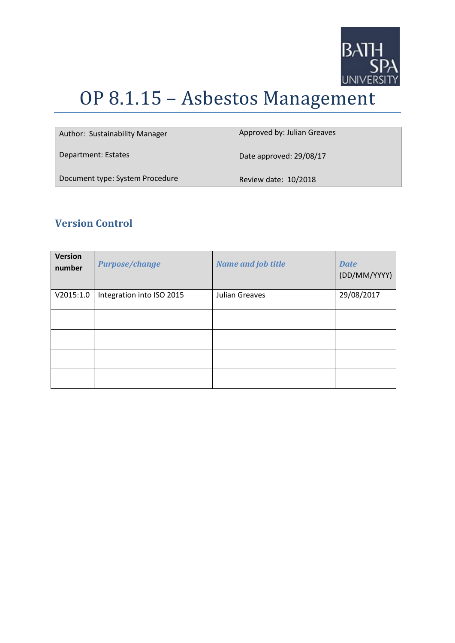

# OP 8.1.15 – Asbestos Management

| Author: Sustainability Manager  | Approved by: Julian Greaves |
|---------------------------------|-----------------------------|
| Department: Estates             | Date approved: 29/08/17     |
| Document type: System Procedure | Review date: 10/2018        |

## **Version Control**

| <b>Version</b><br>number | <b>Purpose/change</b>     | <b>Name and job title</b> | <b>Date</b><br>(DD/MM/YYYY) |
|--------------------------|---------------------------|---------------------------|-----------------------------|
| V2015:1.0                | Integration into ISO 2015 | Julian Greaves            | 29/08/2017                  |
|                          |                           |                           |                             |
|                          |                           |                           |                             |
|                          |                           |                           |                             |
|                          |                           |                           |                             |